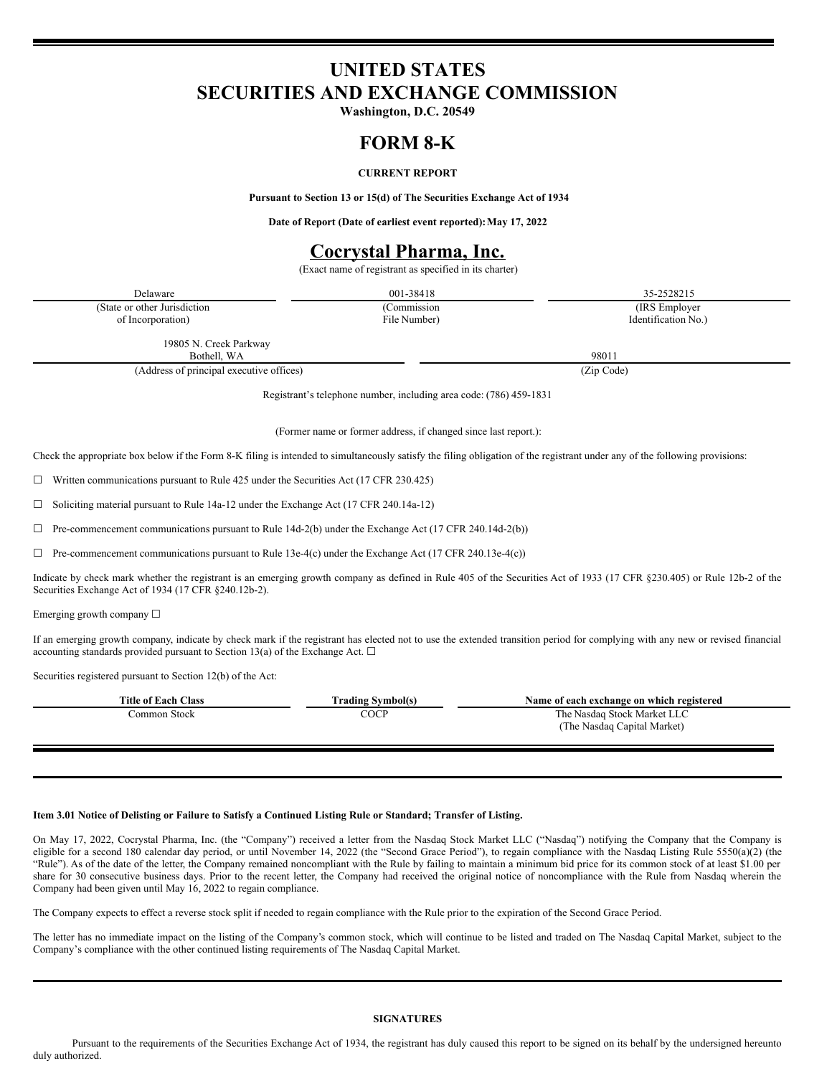# **UNITED STATES SECURITIES AND EXCHANGE COMMISSION**

**Washington, D.C. 20549**

### **FORM 8-K**

### **CURRENT REPORT**

**Pursuant to Section 13 or 15(d) of The Securities Exchange Act of 1934**

**Date of Report (Date of earliest event reported):May 17, 2022**

## **Cocrystal Pharma, Inc.**

(Exact name of registrant as specified in its charter)

| Delaware                                                                                                                                                                                                                                                             | 001-38418                                                          | 35-2528215          |  |
|----------------------------------------------------------------------------------------------------------------------------------------------------------------------------------------------------------------------------------------------------------------------|--------------------------------------------------------------------|---------------------|--|
| (State or other Jurisdiction                                                                                                                                                                                                                                         | (Commission                                                        | (IRS Employer)      |  |
| of Incorporation)                                                                                                                                                                                                                                                    | File Number)                                                       | Identification No.) |  |
| 19805 N. Creek Parkway                                                                                                                                                                                                                                               |                                                                    |                     |  |
| Bothell, WA                                                                                                                                                                                                                                                          |                                                                    | 98011               |  |
| (Address of principal executive offices)                                                                                                                                                                                                                             |                                                                    | (Zip Code)          |  |
|                                                                                                                                                                                                                                                                      | Registrant's telephone number, including area code: (786) 459-1831 |                     |  |
|                                                                                                                                                                                                                                                                      | (Former name or former address, if changed since last report.):    |                     |  |
| Check the appropriate box below if the Form 8-K filing is intended to simultaneously satisfy the filing obligation of the registrant under any of the following provisions:                                                                                          |                                                                    |                     |  |
| Written communications pursuant to Rule 425 under the Securities Act (17 CFR 230.425)                                                                                                                                                                                |                                                                    |                     |  |
| Soliciting material pursuant to Rule 14a-12 under the Exchange Act (17 CFR 240.14a-12)<br>⊔                                                                                                                                                                          |                                                                    |                     |  |
| Pre-commencement communications pursuant to Rule 14d-2(b) under the Exchange Act (17 CFR 240.14d-2(b))                                                                                                                                                               |                                                                    |                     |  |
| Pre-commencement communications pursuant to Rule 13e-4(c) under the Exchange Act (17 CFR 240.13e-4(c))                                                                                                                                                               |                                                                    |                     |  |
| Indicate by check mark whether the registrant is an emerging growth company as defined in Rule 405 of the Securities Act of 1933 (17 CFR §230.405) or Rule 12b-2 of the<br>Securities Exchange Act of 1934 (17 CFR §240.12b-2).                                      |                                                                    |                     |  |
| Emerging growth company $\Box$                                                                                                                                                                                                                                       |                                                                    |                     |  |
| If an emerging growth company, indicate by check mark if the registrant has elected not to use the extended transition period for complying with any new or revised financial<br>accounting standards provided pursuant to Section 13(a) of the Exchange Act. $\Box$ |                                                                    |                     |  |

Securities registered pursuant to Section 12(b) of the Act:

| <b>Title of Each Class</b> | Trading Svmbol(s) | Name of each exchange on which registered                  |
|----------------------------|-------------------|------------------------------------------------------------|
| Common Stock               | COCP              | The Nasdaq Stock Market LLC<br>(The Nasdaq Capital Market) |

#### Item 3.01 Notice of Delisting or Failure to Satisfy a Continued Listing Rule or Standard; Transfer of Listing.

On May 17, 2022, Cocrystal Pharma, Inc. (the "Company") received a letter from the Nasdaq Stock Market LLC ("Nasdaq") notifying the Company that the Company is eligible for a second 180 calendar day period, or until November 14, 2022 (the "Second Grace Period"), to regain compliance with the Nasdaq Listing Rule 5550(a)(2) (the "Rule"). As of the date of the letter, the Company remained noncompliant with the Rule by failing to maintain a minimum bid price for its common stock of at least \$1.00 per share for 30 consecutive business days. Prior to the recent letter, the Company had received the original notice of noncompliance with the Rule from Nasdaq wherein the Company had been given until May 16, 2022 to regain compliance.

The Company expects to effect a reverse stock split if needed to regain compliance with the Rule prior to the expiration of the Second Grace Period.

The letter has no immediate impact on the listing of the Company's common stock, which will continue to be listed and traded on The Nasdaq Capital Market, subject to the Company's compliance with the other continued listing requirements of The Nasdaq Capital Market.

#### **SIGNATURES**

Pursuant to the requirements of the Securities Exchange Act of 1934, the registrant has duly caused this report to be signed on its behalf by the undersigned hereunto duly authorized.